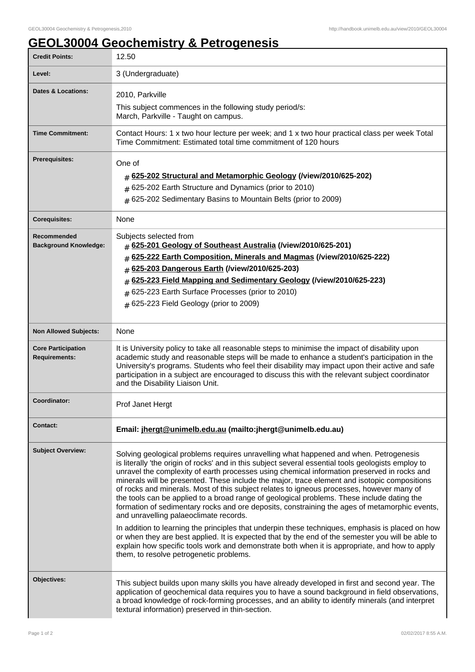## **GEOL30004 Geochemistry & Petrogenesis**

| <b>Credit Points:</b>                             | 12.50                                                                                                                                                                                                                                                                                                                                                                                                                                                                                                                                                                                                                                                                                                                                                                                                                                                                                                                                                                                                                                                                                  |
|---------------------------------------------------|----------------------------------------------------------------------------------------------------------------------------------------------------------------------------------------------------------------------------------------------------------------------------------------------------------------------------------------------------------------------------------------------------------------------------------------------------------------------------------------------------------------------------------------------------------------------------------------------------------------------------------------------------------------------------------------------------------------------------------------------------------------------------------------------------------------------------------------------------------------------------------------------------------------------------------------------------------------------------------------------------------------------------------------------------------------------------------------|
| Level:                                            | 3 (Undergraduate)                                                                                                                                                                                                                                                                                                                                                                                                                                                                                                                                                                                                                                                                                                                                                                                                                                                                                                                                                                                                                                                                      |
| Dates & Locations:                                | 2010, Parkville<br>This subject commences in the following study period/s:<br>March, Parkville - Taught on campus.                                                                                                                                                                                                                                                                                                                                                                                                                                                                                                                                                                                                                                                                                                                                                                                                                                                                                                                                                                     |
| <b>Time Commitment:</b>                           | Contact Hours: 1 x two hour lecture per week; and 1 x two hour practical class per week Total<br>Time Commitment: Estimated total time commitment of 120 hours                                                                                                                                                                                                                                                                                                                                                                                                                                                                                                                                                                                                                                                                                                                                                                                                                                                                                                                         |
| Prerequisites:                                    | One of<br>625-202 Structural and Metamorphic Geology (/view/2010/625-202)<br>#<br># 625-202 Earth Structure and Dynamics (prior to 2010)<br>$#$ 625-202 Sedimentary Basins to Mountain Belts (prior to 2009)                                                                                                                                                                                                                                                                                                                                                                                                                                                                                                                                                                                                                                                                                                                                                                                                                                                                           |
| <b>Corequisites:</b>                              | None                                                                                                                                                                                                                                                                                                                                                                                                                                                                                                                                                                                                                                                                                                                                                                                                                                                                                                                                                                                                                                                                                   |
| Recommended<br><b>Background Knowledge:</b>       | Subjects selected from<br>$\#$ 625-201 Geology of Southeast Australia (/view/2010/625-201)<br>625-222 Earth Composition, Minerals and Magmas (/view/2010/625-222)<br>#<br>625-203 Dangerous Earth (/view/2010/625-203)<br>$\sharp$<br>625-223 Field Mapping and Sedimentary Geology (/view/2010/625-223)<br>#<br>625-223 Earth Surface Processes (prior to 2010)<br>#<br>$#$ 625-223 Field Geology (prior to 2009)                                                                                                                                                                                                                                                                                                                                                                                                                                                                                                                                                                                                                                                                     |
| <b>Non Allowed Subjects:</b>                      | None                                                                                                                                                                                                                                                                                                                                                                                                                                                                                                                                                                                                                                                                                                                                                                                                                                                                                                                                                                                                                                                                                   |
| <b>Core Participation</b><br><b>Requirements:</b> | It is University policy to take all reasonable steps to minimise the impact of disability upon<br>academic study and reasonable steps will be made to enhance a student's participation in the<br>University's programs. Students who feel their disability may impact upon their active and safe<br>participation in a subject are encouraged to discuss this with the relevant subject coordinator<br>and the Disability Liaison Unit.                                                                                                                                                                                                                                                                                                                                                                                                                                                                                                                                                                                                                                               |
| Coordinator:                                      | Prof Janet Hergt                                                                                                                                                                                                                                                                                                                                                                                                                                                                                                                                                                                                                                                                                                                                                                                                                                                                                                                                                                                                                                                                       |
| <b>Contact:</b>                                   | Email: jhergt@unimelb.edu.au (mailto:jhergt@unimelb.edu.au)                                                                                                                                                                                                                                                                                                                                                                                                                                                                                                                                                                                                                                                                                                                                                                                                                                                                                                                                                                                                                            |
| <b>Subject Overview:</b>                          | Solving geological problems requires unravelling what happened and when. Petrogenesis<br>is literally 'the origin of rocks' and in this subject several essential tools geologists employ to<br>unravel the complexity of earth processes using chemical information preserved in rocks and<br>minerals will be presented. These include the major, trace element and isotopic compositions<br>of rocks and minerals. Most of this subject relates to igneous processes, however many of<br>the tools can be applied to a broad range of geological problems. These include dating the<br>formation of sedimentary rocks and ore deposits, constraining the ages of metamorphic events,<br>and unravelling palaeoclimate records.<br>In addition to learning the principles that underpin these techniques, emphasis is placed on how<br>or when they are best applied. It is expected that by the end of the semester you will be able to<br>explain how specific tools work and demonstrate both when it is appropriate, and how to apply<br>them, to resolve petrogenetic problems. |
| Objectives:                                       | This subject builds upon many skills you have already developed in first and second year. The<br>application of geochemical data requires you to have a sound background in field observations,<br>a broad knowledge of rock-forming processes, and an ability to identify minerals (and interpret<br>textural information) preserved in thin-section.                                                                                                                                                                                                                                                                                                                                                                                                                                                                                                                                                                                                                                                                                                                                 |